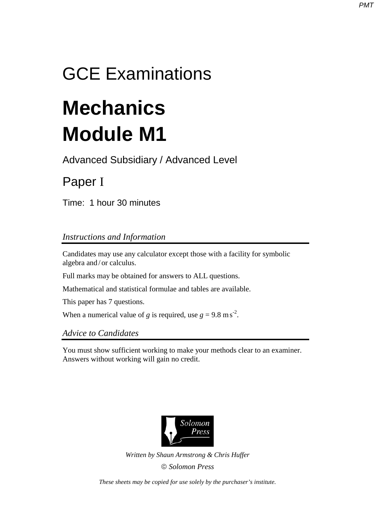## GCE Examinations

# **Mechanics Module M1**

Advanced Subsidiary / Advanced Level

## Paper I

Time: 1 hour 30 minutes

### *Instructions and Information*

Candidates may use any calculator except those with a facility for symbolic algebra and / or calculus.

Full marks may be obtained for answers to ALL questions.

Mathematical and statistical formulae and tables are available.

This paper has 7 questions.

When a numerical value of *g* is required, use  $g = 9.8 \text{ m s}^2$ .

*Advice to Candidates* 

You must show sufficient working to make your methods clear to an examiner. Answers without working will gain no credit.



*Written by Shaun Armstrong & Chris Huffer Solomon Press* 

*These sheets may be copied for use solely by the purchaser's institute.*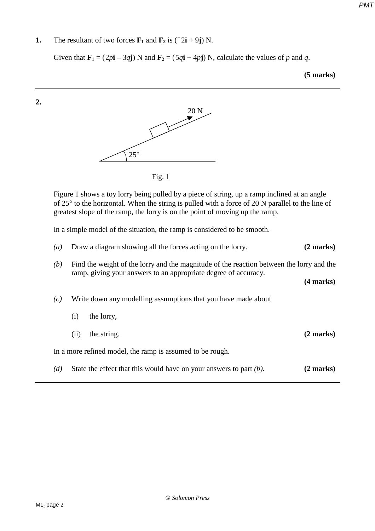**1.** The resultant of two forces  $\mathbf{F}_1$  and  $\mathbf{F}_2$  is ( $\overline{2}$ **i** + 9**j**) N.

Given that  $\mathbf{F}_1 = (2p\mathbf{i} - 3q\mathbf{j})$  N and  $\mathbf{F}_2 = (5q\mathbf{i} + 4p\mathbf{j})$  N, calculate the values of *p* and *q*.

**(5 marks)** 



In a simple model of the situation, the ramp is considered to be smooth.

| $\left(a\right)$ |                                                                                                                                                             | Draw a diagram showing all the forces acting on the lorry.            | $(2 \text{ marks})$ |
|------------------|-------------------------------------------------------------------------------------------------------------------------------------------------------------|-----------------------------------------------------------------------|---------------------|
| (b)              | Find the weight of the lorry and the magnitude of the reaction between the lorry and the<br>ramp, giving your answers to an appropriate degree of accuracy. |                                                                       |                     |
|                  |                                                                                                                                                             |                                                                       | $(4$ marks)         |
| (c)              | Write down any modelling assumptions that you have made about                                                                                               |                                                                       |                     |
|                  | (i)                                                                                                                                                         | the lorry,                                                            |                     |
|                  | (ii)                                                                                                                                                        | the string.                                                           | $(2 \text{ marks})$ |
|                  |                                                                                                                                                             | In a more refined model, the ramp is assumed to be rough.             |                     |
| (d)              |                                                                                                                                                             | State the effect that this would have on your answers to part $(b)$ . | $(2 \text{ marks})$ |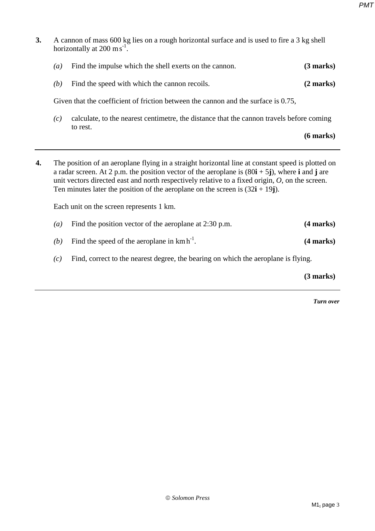**3.** A cannon of mass 600 kg lies on a rough horizontal surface and is used to fire a 3 kg shell horizontally at  $200 \text{ m s}^{-1}$ . *(a)* Find the impulse which the shell exerts on the cannon. **(3 marks)** *(b)* Find the speed with which the cannon recoils. **(2 marks)** Given that the coefficient of friction between the cannon and the surface is 0.75, *(c)* calculate, to the nearest centimetre, the distance that the cannon travels before coming to rest. **(6 marks) 4.** The position of an aeroplane flying in a straight horizontal line at constant speed is plotted on a radar screen. At 2 p.m. the position vector of the aeroplane is (80**i** + 5**j**), where **i** and **j** are unit vectors directed east and north respectively relative to a fixed origin, *O*, on the screen. Ten minutes later the position of the aeroplane on the screen is  $(32\mathbf{i} + 19\mathbf{j})$ . Each unit on the screen represents 1 km. *(a)* Find the position vector of the aeroplane at 2:30 p.m. **(4 marks)** *(b)* Find the speed of the aeroplane in  $kmh^{-1}$ . **(4 marks)** *(c)* Find, correct to the nearest degree, the bearing on which the aeroplane is flying. **(3 marks)**

*Turn over*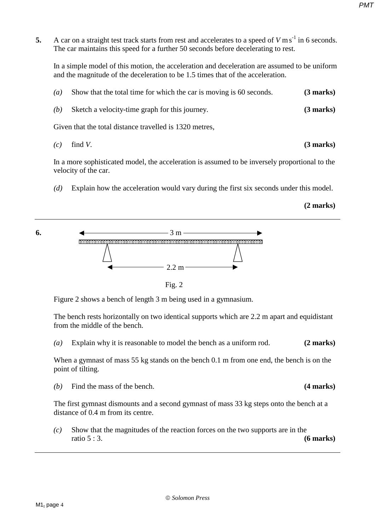**5.** A car on a straight test track starts from rest and accelerates to a speed of  $V \text{ m s}^{-1}$  in 6 seconds. The car maintains this speed for a further 50 seconds before decelerating to rest.

In a simple model of this motion, the acceleration and deceleration are assumed to be uniform and the magnitude of the deceleration to be 1.5 times that of the acceleration.

| (a) | Show that the total time for which the car is moving is 60 seconds. | $(3 \text{ marks})$ |
|-----|---------------------------------------------------------------------|---------------------|
| (b) | Sketch a velocity-time graph for this journey.                      | $(3$ marks)         |
|     | Given that the total distance travelled is 1320 metres,             |                     |
| (c) | find $V$ .                                                          | (3 marks)           |

In a more sophisticated model, the acceleration is assumed to be inversely proportional to the

velocity of the car.

*(d)* Explain how the acceleration would vary during the first six seconds under this model.

#### **(2 marks)**



Fig. 2

Figure 2 shows a bench of length 3 m being used in a gymnasium.

The bench rests horizontally on two identical supports which are 2.2 m apart and equidistant from the middle of the bench.

*(a)* Explain why it is reasonable to model the bench as a uniform rod. **(2 marks)**

When a gymnast of mass 55 kg stands on the bench 0.1 m from one end, the bench is on the point of tilting.

*(b)* Find the mass of the bench. **(4 marks)**

The first gymnast dismounts and a second gymnast of mass 33 kg steps onto the bench at a distance of 0.4 m from its centre.

*(c)* Show that the magnitudes of the reaction forces on the two supports are in the ratio 5 : 3. **(6 marks)**